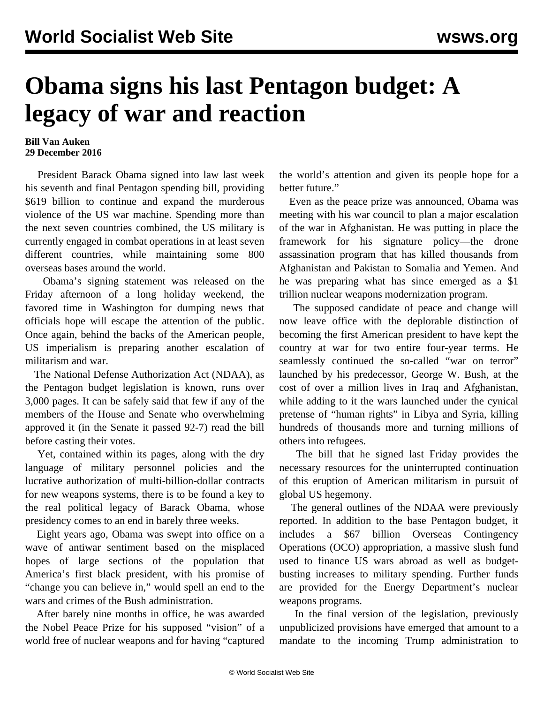## **Obama signs his last Pentagon budget: A legacy of war and reaction**

## **Bill Van Auken 29 December 2016**

 President Barack Obama signed into law last week his seventh and final Pentagon spending bill, providing \$619 billion to continue and expand the murderous violence of the US war machine. Spending more than the next seven countries combined, the US military is currently engaged in combat operations in at least seven different countries, while maintaining some 800 overseas bases around the world.

 Obama's signing statement was released on the Friday afternoon of a long holiday weekend, the favored time in Washington for dumping news that officials hope will escape the attention of the public. Once again, behind the backs of the American people, US imperialism is preparing another escalation of militarism and war.

 The National Defense Authorization Act (NDAA), as the Pentagon budget legislation is known, runs over 3,000 pages. It can be safely said that few if any of the members of the House and Senate who overwhelming approved it (in the Senate it passed 92-7) read the bill before casting their votes.

 Yet, contained within its pages, along with the dry language of military personnel policies and the lucrative authorization of multi-billion-dollar contracts for new weapons systems, there is to be found a key to the real political legacy of Barack Obama, whose presidency comes to an end in barely three weeks.

 Eight years ago, Obama was swept into office on a wave of antiwar sentiment based on the misplaced hopes of large sections of the population that America's first black president, with his promise of "change you can believe in," would spell an end to the wars and crimes of the Bush administration.

 After barely nine months in office, he was awarded the Nobel Peace Prize for his supposed "vision" of a world free of nuclear weapons and for having "captured the world's attention and given its people hope for a better future."

 Even as the peace prize was announced, Obama was meeting with his war council to plan a major escalation of the war in Afghanistan. He was putting in place the framework for his signature policy—the drone assassination program that has killed thousands from Afghanistan and Pakistan to Somalia and Yemen. And he was preparing what has since emerged as a \$1 trillion nuclear weapons modernization program.

 The supposed candidate of peace and change will now leave office with the deplorable distinction of becoming the first American president to have kept the country at war for two entire four-year terms. He seamlessly continued the so-called "war on terror" launched by his predecessor, George W. Bush, at the cost of over a million lives in Iraq and Afghanistan, while adding to it the wars launched under the cynical pretense of "human rights" in Libya and Syria, killing hundreds of thousands more and turning millions of others into refugees.

 The bill that he signed last Friday provides the necessary resources for the uninterrupted continuation of this eruption of American militarism in pursuit of global US hegemony.

 The general outlines of the NDAA were previously reported. In addition to the base Pentagon budget, it includes a \$67 billion Overseas Contingency Operations (OCO) appropriation, a massive slush fund used to finance US wars abroad as well as budgetbusting increases to military spending. Further funds are provided for the Energy Department's nuclear weapons programs.

 In the final version of the legislation, previously unpublicized provisions have emerged that amount to a mandate to the incoming Trump administration to